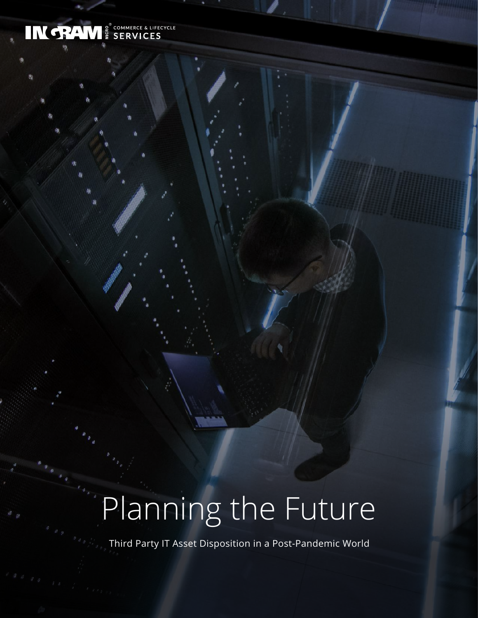## IN TRAM E SERVICES

# Planning the Future

Third Party IT Asset Disposition in a Post-Pandemic World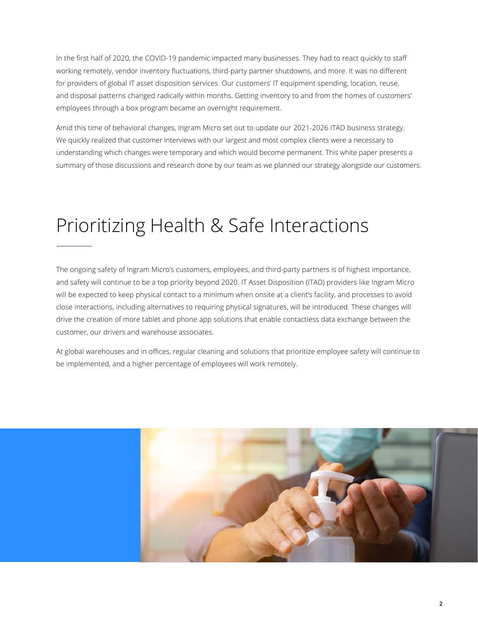In the first half of 2020, the COVID-19 pandemic impacted many businesses. They had to react quickly to staff working remotely, vendor inventory fluctuations, third-party partner shutdowns, and more. It was no different for providers of global IT asset disposition services. Our customers' IT equipment spending, location, reuse, and disposal patterns changed radically within months. Getting inventory to and from the homes of customers' employees through a box program became an overnight requirement.

Amid this time of behavioral changes, Ingram Micro set out to update our 2021-2026 ITAD business strategy. We quickly realized that customer interviews with our largest and most complex clients were a necessary to understanding which changes were temporary and which would become permanent. This white paper presents a summary of those discussions and research done by our team as we planned our strategy alongside our customers.

### Prioritizing Health & Safe Interactions

The ongoing safety of Ingram Micro's customers, employees, and third-party partners is of highest importance, and safety will continue to be a top priority beyond 2020. IT Asset Disposition (ITAD) providers like Ingram Micro will be expected to keep physical contact to a minimum when onsite at a client's facility, and processes to avoid close interactions, including alternatives to requiring physical signatures, will be introduced. These changes will drive the creation of more tablet and phone app solutions that enable contactless data exchange between the customer, our drivers and warehouse associates.

At global warehouses and in offices, regular cleaning and solutions that prioritize employee safety will continue to be implemented, and a higher percentage of employees will work remotely.

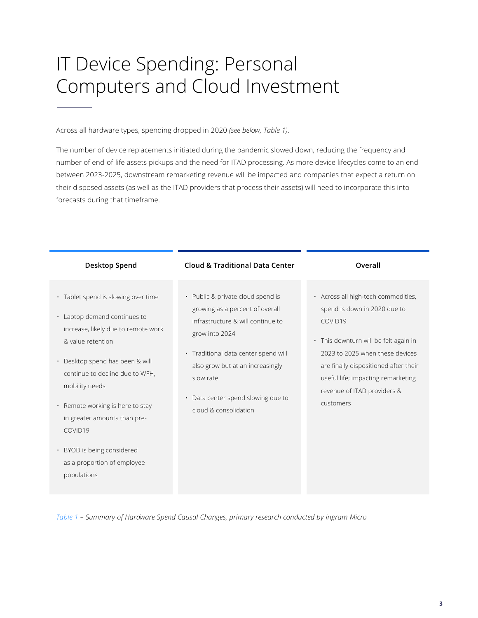### IT Device Spending: Personal Computers and Cloud Investment

Across all hardware types, spending dropped in 2020 *(see below, Table 1)*.

The number of device replacements initiated during the pandemic slowed down, reducing the frequency and number of end-of-life assets pickups and the need for ITAD processing. As more device lifecycles come to an end between 2023-2025, downstream remarketing revenue will be impacted and companies that expect a return on their disposed assets (as well as the ITAD providers that process their assets) will need to incorporate this into forecasts during that timeframe.



*Table 1 – Summary of Hardware Spend Causal Changes, primary research conducted by Ingram Micro*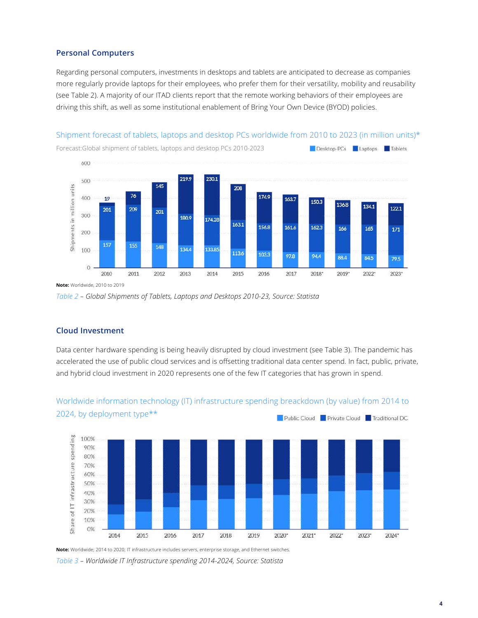#### **Personal Computers**

Regarding personal computers, investments in desktops and tablets are anticipated to decrease as companies more regularly provide laptops for their employees, who prefer them for their versatility, mobility and reusability (see Table 2). A majority of our ITAD clients report that the remote working behaviors of their employees are driving this shift, as well as some institutional enablement of Bring Your Own Device (BYOD) policies.

#### Shipment forecast of tablets, laptops and desktop PCs worldwide from 2010 to 2023 (in million units)\*



**Note:** Worldwide, 2010 to 2019

#### **Cloud Investment**

Data center hardware spending is being heavily disrupted by cloud investment (see Table 3). The pandemic has accelerated the use of public cloud services and is offsetting traditional data center spend. In fact, public, private, and hybrid cloud investment in 2020 represents one of the few IT categories that has grown in spend.



#### Worldwide information technology (IT) infrastructure spending breackdown (by value) from 2014 to 2024, by deployment type\*\* Public Cloud Private Cloud Traditional DC

**Note:** Worldwide; 2014 to 2020; IT infrastructure includes servers, enterprise storage, and Ethernet switches.

*Table 3 – Worldwide IT Infrastructure spending 2014-2024, Source: Statista*

*Table 2 – Global Shipments of Tablets, Laptops and Desktops 2010-23, Source: Statista*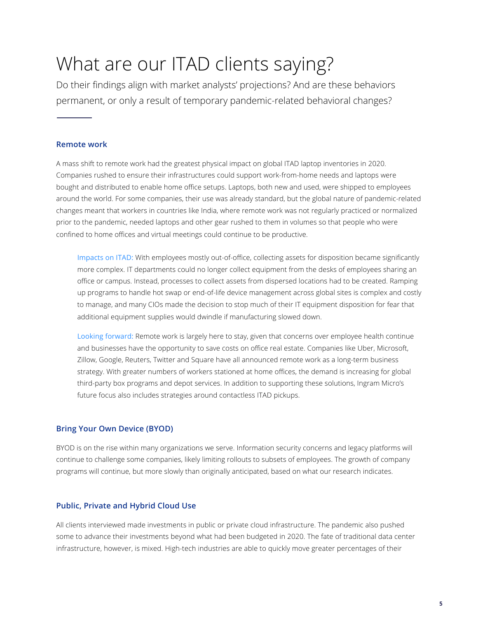### What are our ITAD clients saying?

Do their findings align with market analysts' projections? And are these behaviors permanent, or only a result of temporary pandemic-related behavioral changes?

#### **Remote work**

A mass shift to remote work had the greatest physical impact on global ITAD laptop inventories in 2020. Companies rushed to ensure their infrastructures could support work-from-home needs and laptops were bought and distributed to enable home office setups. Laptops, both new and used, were shipped to employees around the world. For some companies, their use was already standard, but the global nature of pandemic-related changes meant that workers in countries like India, where remote work was not regularly practiced or normalized prior to the pandemic, needed laptops and other gear rushed to them in volumes so that people who were confined to home offices and virtual meetings could continue to be productive.

Impacts on ITAD: With employees mostly out-of-office, collecting assets for disposition became significantly more complex. IT departments could no longer collect equipment from the desks of employees sharing an office or campus. Instead, processes to collect assets from dispersed locations had to be created. Ramping up programs to handle hot swap or end-of-life device management across global sites is complex and costly to manage, and many CIOs made the decision to stop much of their IT equipment disposition for fear that additional equipment supplies would dwindle if manufacturing slowed down.

Looking forward: Remote work is largely here to stay, given that concerns over employee health continue and businesses have the opportunity to save costs on office real estate. Companies like Uber, Microsoft, Zillow, Google, Reuters, Twitter and Square have all announced remote work as a long-term business strategy. With greater numbers of workers stationed at home offices, the demand is increasing for global third-party box programs and depot services. In addition to supporting these solutions, Ingram Micro's future focus also includes strategies around contactless ITAD pickups.

#### **Bring Your Own Device (BYOD)**

BYOD is on the rise within many organizations we serve. Information security concerns and legacy platforms will continue to challenge some companies, likely limiting rollouts to subsets of employees. The growth of company programs will continue, but more slowly than originally anticipated, based on what our research indicates.

#### **Public, Private and Hybrid Cloud Use**

All clients interviewed made investments in public or private cloud infrastructure. The pandemic also pushed some to advance their investments beyond what had been budgeted in 2020. The fate of traditional data center infrastructure, however, is mixed. High-tech industries are able to quickly move greater percentages of their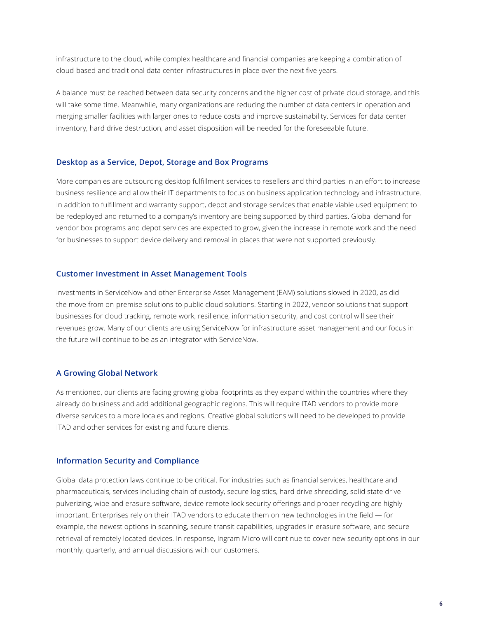infrastructure to the cloud, while complex healthcare and financial companies are keeping a combination of cloud-based and traditional data center infrastructures in place over the next five years.

A balance must be reached between data security concerns and the higher cost of private cloud storage, and this will take some time. Meanwhile, many organizations are reducing the number of data centers in operation and merging smaller facilities with larger ones to reduce costs and improve sustainability. Services for data center inventory, hard drive destruction, and asset disposition will be needed for the foreseeable future.

#### **Desktop as a Service, Depot, Storage and Box Programs**

More companies are outsourcing desktop fulfillment services to resellers and third parties in an effort to increase business resilience and allow their IT departments to focus on business application technology and infrastructure. In addition to fulfillment and warranty support, depot and storage services that enable viable used equipment to be redeployed and returned to a company's inventory are being supported by third parties. Global demand for vendor box programs and depot services are expected to grow, given the increase in remote work and the need for businesses to support device delivery and removal in places that were not supported previously.

#### **Customer Investment in Asset Management Tools**

Investments in ServiceNow and other Enterprise Asset Management (EAM) solutions slowed in 2020, as did the move from on-premise solutions to public cloud solutions. Starting in 2022, vendor solutions that support businesses for cloud tracking, remote work, resilience, information security, and cost control will see their revenues grow. Many of our clients are using ServiceNow for infrastructure asset management and our focus in the future will continue to be as an integrator with ServiceNow.

#### **A Growing Global Network**

As mentioned, our clients are facing growing global footprints as they expand within the countries where they already do business and add additional geographic regions. This will require ITAD vendors to provide more diverse services to a more locales and regions. Creative global solutions will need to be developed to provide ITAD and other services for existing and future clients.

#### **Information Security and Compliance**

Global data protection laws continue to be critical. For industries such as financial services, healthcare and pharmaceuticals, services including chain of custody, secure logistics, hard drive shredding, solid state drive pulverizing, wipe and erasure software, device remote lock security offerings and proper recycling are highly important. Enterprises rely on their ITAD vendors to educate them on new technologies in the field — for example, the newest options in scanning, secure transit capabilities, upgrades in erasure software, and secure retrieval of remotely located devices. In response, Ingram Micro will continue to cover new security options in our monthly, quarterly, and annual discussions with our customers.